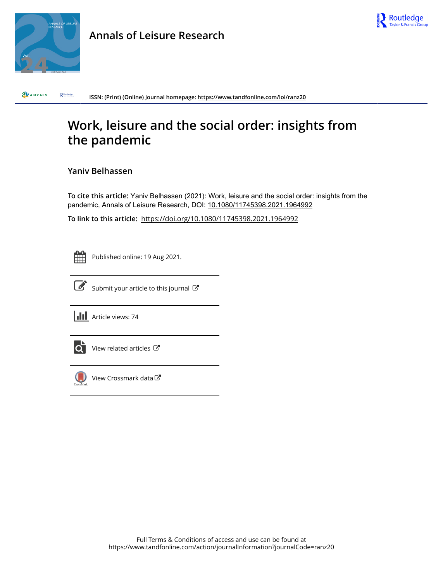

**Annals of Leisure Research**



ZUANZALS  $R$  Routledge **ISSN: (Print) (Online) Journal homepage:<https://www.tandfonline.com/loi/ranz20>**

# **Work, leisure and the social order: insights from the pandemic**

### **Yaniv Belhassen**

**To cite this article:** Yaniv Belhassen (2021): Work, leisure and the social order: insights from the pandemic, Annals of Leisure Research, DOI: [10.1080/11745398.2021.1964992](https://www.tandfonline.com/action/showCitFormats?doi=10.1080/11745398.2021.1964992)

**To link to this article:** <https://doi.org/10.1080/11745398.2021.1964992>



Published online: 19 Aug 2021.



 $\overrightarrow{S}$  [Submit your article to this journal](https://www.tandfonline.com/action/authorSubmission?journalCode=ranz20&show=instructions)  $\overrightarrow{S}$ 

**III** Article views: 74



 $\overline{Q}$  [View related articles](https://www.tandfonline.com/doi/mlt/10.1080/11745398.2021.1964992)  $\overline{G}$ 



[View Crossmark data](http://crossmark.crossref.org/dialog/?doi=10.1080/11745398.2021.1964992&domain=pdf&date_stamp=2021-08-19) C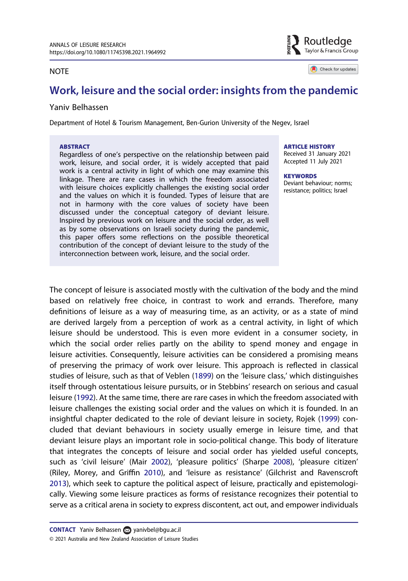#### **NOTE**

Routledae Taylor & Francis Group

Check for updates

## Work, leisure and the social order: insights from the pandemic

#### Yaniv Belhassen

Department of Hotel & Tourism Management, Ben-Gurion University of the Negev, Israel

#### **ABSTRACT**

Regardless of one's perspective on the relationship between paid work, leisure, and social order, it is widely accepted that paid work is a central activity in light of which one may examine this linkage. There are rare cases in which the freedom associated with leisure choices explicitly challenges the existing social order and the values on which it is founded. Types of leisure that are not in harmony with the core values of society have been discussed under the conceptual category of deviant leisure. Inspired by previous work on leisure and the social order, as well as by some observations on Israeli society during the pandemic, this paper offers some reflections on the possible theoretical contribution of the concept of deviant leisure to the study of the interconnection between work, leisure, and the social order.

ARTICLE HISTORY

Received 31 January 2021 Accepted 11 July 2021

**KEYWORDS** Deviant behaviour; norms; resistance; politics; Israel

<span id="page-1-4"></span><span id="page-1-3"></span><span id="page-1-2"></span><span id="page-1-1"></span><span id="page-1-0"></span>The concept of leisure is associated mostly with the cultivation of the body and the mind based on relatively free choice, in contrast to work and errands. Therefore, many definitions of leisure as a way of measuring time, as an activity, or as a state of mind are derived largely from a perception of work as a central activity, in light of which leisure should be understood. This is even more evident in a consumer society, in which the social order relies partly on the ability to spend money and engage in leisure activities. Consequently, leisure activities can be considered a promising means of preserving the primacy of work over leisure. This approach is reflected in classical studies of leisure, such as that of Veblen [\(1899\)](#page-7-0) on the 'leisure class,' which distinguishes itself through ostentatious leisure pursuits, or in Stebbins' research on serious and casual leisure [\(1992\)](#page-7-1). At the same time, there are rare cases in which the freedom associated with leisure challenges the existing social order and the values on which it is founded. In an insightful chapter dedicated to the role of deviant leisure in society, Rojek ([1999](#page-7-2)) concluded that deviant behaviours in society usually emerge in leisure time, and that deviant leisure plays an important role in socio-political change. This body of literature that integrates the concepts of leisure and social order has yielded useful concepts, such as 'civil leisure' (Mair [2002](#page-6-0)), 'pleasure politics' (Sharpe [2008](#page-7-3)), 'pleasure citizen' (Riley, Morey, and Griffin [2010\)](#page-7-4), and 'leisure as resistance' (Gilchrist and Ravenscroft [2013\)](#page-6-1), which seek to capture the political aspect of leisure, practically and epistemologically. Viewing some leisure practices as forms of resistance recognizes their potential to serve as a critical arena in society to express discontent, act out, and empower individuals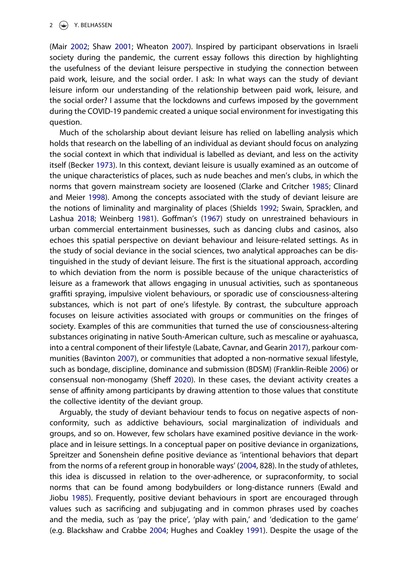<span id="page-2-9"></span>(Mair [2002;](#page-6-0) Shaw [2001](#page-7-5); Wheaton [2007](#page-7-6)). Inspired by participant observations in Israeli society during the pandemic, the current essay follows this direction by highlighting the usefulness of the deviant leisure perspective in studying the connection between paid work, leisure, and the social order. I ask: In what ways can the study of deviant leisure inform our understanding of the relationship between paid work, leisure, and the social order? I assume that the lockdowns and curfews imposed by the government during the COVID-19 pandemic created a unique social environment for investigating this question.

<span id="page-2-11"></span><span id="page-2-7"></span><span id="page-2-4"></span><span id="page-2-3"></span><span id="page-2-1"></span>Much of the scholarship about deviant leisure has relied on labelling analysis which holds that research on the labelling of an individual as deviant should focus on analyzing the social context in which that individual is labelled as deviant, and less on the activity itself (Becker [1973\)](#page-6-2). In this context, deviant leisure is usually examined as an outcome of the unique characteristics of places, such as nude beaches and men's clubs, in which the norms that govern mainstream society are loosened (Clarke and Critcher [1985;](#page-6-3) Clinard and Meier [1998](#page-6-4)). Among the concepts associated with the study of deviant leisure are the notions of liminality and marginality of places (Shields [1992;](#page-7-7) Swain, Spracklen, and Lashua [2018](#page-7-8); Weinberg [1981\)](#page-7-9). Goffman's ([1967](#page-6-5)) study on unrestrained behaviours in urban commercial entertainment businesses, such as dancing clubs and casinos, also echoes this spatial perspective on deviant behaviour and leisure-related settings. As in the study of social deviance in the social sciences, two analytical approaches can be distinguished in the study of deviant leisure. The first is the situational approach, according to which deviation from the norm is possible because of the unique characteristics of leisure as a framework that allows engaging in unusual activities, such as spontaneous graffiti spraying, impulsive violent behaviours, or sporadic use of consciousness-altering substances, which is not part of one's lifestyle. By contrast, the subculture approach focuses on leisure activities associated with groups or communities on the fringes of society. Examples of this are communities that turned the use of consciousness-altering substances originating in native South-American culture, such as mescaline or ayahuasca, into a central component of their lifestyle (Labate, Cavnar, and Gearin [2017](#page-6-6)), parkour communities (Bavinton [2007\)](#page-6-7), or communities that adopted a non-normative sexual lifestyle, such as bondage, discipline, dominance and submission (BDSM) (Franklin-Reible [2006](#page-6-8)) or consensual non-monogamy (Sheff [2020](#page-7-10)). In these cases, the deviant activity creates a sense of affinity among participants by drawing attention to those values that constitute the collective identity of the deviant group.

<span id="page-2-12"></span><span id="page-2-10"></span><span id="page-2-8"></span><span id="page-2-6"></span><span id="page-2-5"></span><span id="page-2-2"></span><span id="page-2-0"></span>Arguably, the study of deviant behaviour tends to focus on negative aspects of nonconformity, such as addictive behaviours, social marginalization of individuals and groups, and so on. However, few scholars have examined positive deviance in the workplace and in leisure settings. In a conceptual paper on positive deviance in organizations, Spreitzer and Sonenshein define positive deviance as 'intentional behaviors that depart from the norms of a referent group in honorable ways' ([2004](#page-7-11), 828). In the study of athletes, this idea is discussed in relation to the over-adherence, or supraconformity, to social norms that can be found among bodybuilders or long-distance runners (Ewald and Jiobu [1985](#page-6-9)). Frequently, positive deviant behaviours in sport are encouraged through values such as sacrificing and subjugating and in common phrases used by coaches and the media, such as 'pay the price', 'play with pain,' and 'dedication to the game' (e.g. Blackshaw and Crabbe [2004](#page-6-10); Hughes and Coakley [1991](#page-6-11)). Despite the usage of the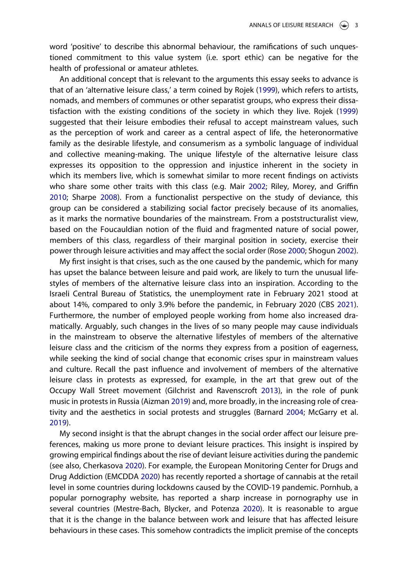word 'positive' to describe this abnormal behaviour, the ramifications of such unquestioned commitment to this value system (i.e. sport ethic) can be negative for the health of professional or amateur athletes.

An additional concept that is relevant to the arguments this essay seeks to advance is that of an 'alternative leisure class,' a term coined by Rojek ([1999](#page-7-2)), which refers to artists, nomads, and members of communes or other separatist groups, who express their dissatisfaction with the existing conditions of the society in which they live. Rojek ([1999](#page-7-2)) suggested that their leisure embodies their refusal to accept mainstream values, such as the perception of work and career as a central aspect of life, the heteronormative family as the desirable lifestyle, and consumerism as a symbolic language of individual and collective meaning-making. The unique lifestyle of the alternative leisure class expresses its opposition to the oppression and injustice inherent in the society in which its members live, which is somewhat similar to more recent findings on activists who share some other traits with this class (e.g. Mair [2002](#page-6-0); Riley, Morey, and Griffin [2010;](#page-7-4) Sharpe [2008\)](#page-7-3). From a functionalist perspective on the study of deviance, this group can be considered a stabilizing social factor precisely because of its anomalies, as it marks the normative boundaries of the mainstream. From a poststructuralist view, based on the Foucauldian notion of the fluid and fragmented nature of social power, members of this class, regardless of their marginal position in society, exercise their power through leisure activities and may affect the social order (Rose [2000;](#page-7-12) Shogun [2002](#page-7-13)).

<span id="page-3-6"></span><span id="page-3-2"></span>My first insight is that crises, such as the one caused by the pandemic, which for many has upset the balance between leisure and paid work, are likely to turn the unusual lifestyles of members of the alternative leisure class into an inspiration. According to the Israeli Central Bureau of Statistics, the unemployment rate in February 2021 stood at about 14%, compared to only 3.9% before the pandemic, in February 2020 (CBS [2021](#page-6-12)). Furthermore, the number of employed people working from home also increased dramatically. Arguably, such changes in the lives of so many people may cause individuals in the mainstream to observe the alternative lifestyles of members of the alternative leisure class and the criticism of the norms they express from a position of eagerness, while seeking the kind of social change that economic crises spur in mainstream values and culture. Recall the past influence and involvement of members of the alternative leisure class in protests as expressed, for example, in the art that grew out of the Occupy Wall Street movement (Gilchrist and Ravenscroft [2013\)](#page-6-1), in the role of punk music in protests in Russia (Aizman [2019\)](#page-6-13) and, more broadly, in the increasing role of creativity and the aesthetics in social protests and struggles (Barnard [2004;](#page-6-14) McGarry et al. [2019\)](#page-6-15).

<span id="page-3-5"></span><span id="page-3-4"></span><span id="page-3-3"></span><span id="page-3-1"></span><span id="page-3-0"></span>My second insight is that the abrupt changes in the social order affect our leisure preferences, making us more prone to deviant leisure practices. This insight is inspired by growing empirical findings about the rise of deviant leisure activities during the pandemic (see also, Cherkasova [2020\)](#page-6-16). For example, the European Monitoring Center for Drugs and Drug Addiction (EMCDDA [2020\)](#page-6-17) has recently reported a shortage of cannabis at the retail level in some countries during lockdowns caused by the COVID-19 pandemic. Pornhub, a popular pornography website, has reported a sharp increase in pornography use in several countries (Mestre-Bach, Blycker, and Potenza [2020\)](#page-6-18). It is reasonable to argue that it is the change in the balance between work and leisure that has affected leisure behaviours in these cases. This somehow contradicts the implicit premise of the concepts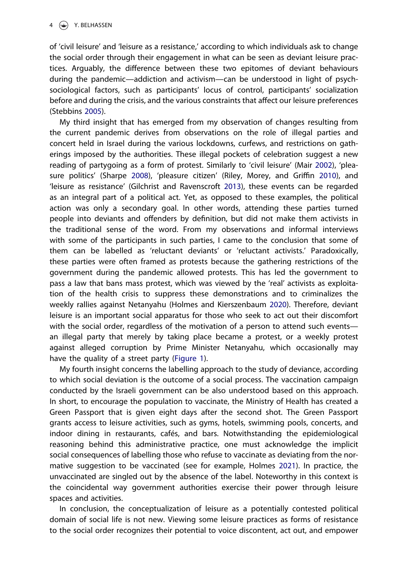of 'civil leisure' and 'leisure as a resistance,' according to which individuals ask to change the social order through their engagement in what can be seen as deviant leisure practices. Arguably, the difference between these two epitomes of deviant behaviours during the pandemic—addiction and activism—can be understood in light of psychsociological factors, such as participants' locus of control, participants' socialization before and during the crisis, and the various constraints that affect our leisure preferences (Stebbins [2005\)](#page-7-14).

<span id="page-4-2"></span>My third insight that has emerged from my observation of changes resulting from the current pandemic derives from observations on the role of illegal parties and concert held in Israel during the various lockdowns, curfews, and restrictions on gatherings imposed by the authorities. These illegal pockets of celebration suggest a new reading of partygoing as a form of protest. Similarly to 'civil leisure' (Mair [2002\)](#page-6-0), 'pleasure politics' (Sharpe [2008](#page-7-3)), 'pleasure citizen' (Riley, Morey, and Griffin [2010\)](#page-7-4), and 'leisure as resistance' (Gilchrist and Ravenscroft [2013\)](#page-6-1), these events can be regarded as an integral part of a political act. Yet, as opposed to these examples, the political action was only a secondary goal. In other words, attending these parties turned people into deviants and offenders by definition, but did not make them activists in the traditional sense of the word. From my observations and informal interviews with some of the participants in such parties, I came to the conclusion that some of them can be labelled as 'reluctant deviants' or 'reluctant activists.' Paradoxically, these parties were often framed as protests because the gathering restrictions of the government during the pandemic allowed protests. This has led the government to pass a law that bans mass protest, which was viewed by the 'real' activists as exploitation of the health crisis to suppress these demonstrations and to criminalizes the weekly rallies against Netanyahu (Holmes and Kierszenbaum [2020\)](#page-6-19). Therefore, deviant leisure is an important social apparatus for those who seek to act out their discomfort with the social order, regardless of the motivation of a person to attend such events an illegal party that merely by taking place became a protest, or a weekly protest against alleged corruption by Prime Minister Netanyahu, which occasionally may have the quality of a street party [\(Figure 1\)](#page-5-0).

<span id="page-4-1"></span>My fourth insight concerns the labelling approach to the study of deviance, according to which social deviation is the outcome of a social process. The vaccination campaign conducted by the Israeli government can be also understood based on this approach. In short, to encourage the population to vaccinate, the Ministry of Health has created a Green Passport that is given eight days after the second shot. The Green Passport grants access to leisure activities, such as gyms, hotels, swimming pools, concerts, and indoor dining in restaurants, cafés, and bars. Notwithstanding the epidemiological reasoning behind this administrative practice, one must acknowledge the implicit social consequences of labelling those who refuse to vaccinate as deviating from the normative suggestion to be vaccinated (see for example, Holmes [2021\)](#page-6-20). In practice, the unvaccinated are singled out by the absence of the label. Noteworthy in this context is the coincidental way government authorities exercise their power through leisure spaces and activities.

<span id="page-4-0"></span>In conclusion, the conceptualization of leisure as a potentially contested political domain of social life is not new. Viewing some leisure practices as forms of resistance to the social order recognizes their potential to voice discontent, act out, and empower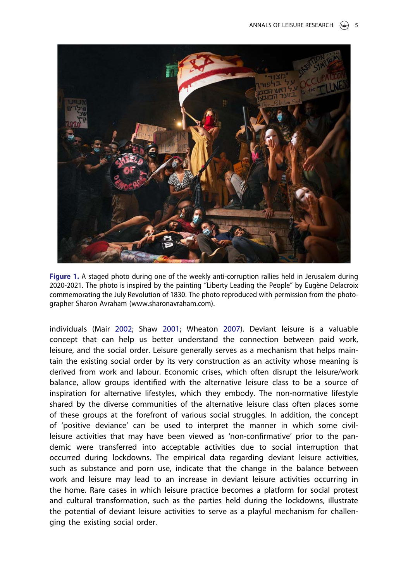<span id="page-5-0"></span>

Figure 1. A staged photo during one of the weekly anti-corruption rallies held in Jerusalem during 2020-2021. The photo is inspired by the painting "Liberty Leading the People" by Eugène Delacroix commemorating the July Revolution of 1830. The photo reproduced with permission from the photographer Sharon Avraham (www.sharonavraham.com).

individuals (Mair [2002;](#page-6-0) Shaw [2001](#page-7-5); Wheaton [2007\)](#page-7-6). Deviant leisure is a valuable concept that can help us better understand the connection between paid work, leisure, and the social order. Leisure generally serves as a mechanism that helps maintain the existing social order by its very construction as an activity whose meaning is derived from work and labour. Economic crises, which often disrupt the leisure/work balance, allow groups identified with the alternative leisure class to be a source of inspiration for alternative lifestyles, which they embody. The non-normative lifestyle shared by the diverse communities of the alternative leisure class often places some of these groups at the forefront of various social struggles. In addition, the concept of 'positive deviance' can be used to interpret the manner in which some civilleisure activities that may have been viewed as 'non-confirmative' prior to the pandemic were transferred into acceptable activities due to social interruption that occurred during lockdowns. The empirical data regarding deviant leisure activities, such as substance and porn use, indicate that the change in the balance between work and leisure may lead to an increase in deviant leisure activities occurring in the home. Rare cases in which leisure practice becomes a platform for social protest and cultural transformation, such as the parties held during the lockdowns, illustrate the potential of deviant leisure activities to serve as a playful mechanism for challenging the existing social order.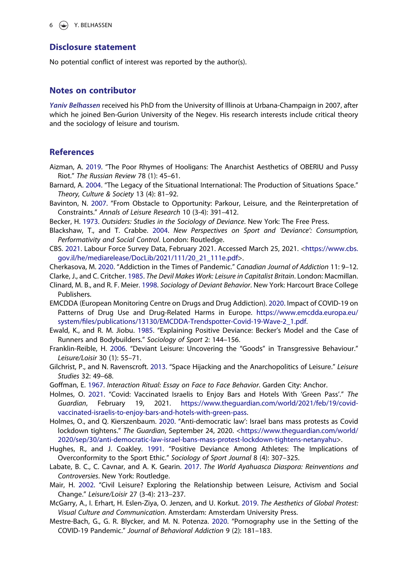#### Disclosure statement

No potential conflict of interest was reported by the author(s).

#### Notes on contributor

Yaniv Belhassen received his PhD from the University of Illinois at Urbana-Champaign in 2007, after which he joined Ben-Gurion University of the Negev. His research interests include critical theory and the sociology of leisure and tourism.

#### **References**

- <span id="page-6-13"></span>Aizman, A. [2019](#page-3-0). "The Poor Rhymes of Hooligans: The Anarchist Aesthetics of OBERIU and Pussy Riot." The Russian Review 78 (1): 45–61.
- <span id="page-6-14"></span>Barnard, A. [2004](#page-3-1). "The Legacy of the Situational International: The Production of Situations Space." Theory, Culture & Society 13 (4): 81–92.
- <span id="page-6-7"></span>Bavinton, N. [2007.](#page-2-0) "From Obstacle to Opportunity: Parkour, Leisure, and the Reinterpretation of Constraints." Annals of Leisure Research 10 (3-4): 391–412.
- <span id="page-6-10"></span><span id="page-6-2"></span>Becker, H. [1973.](#page-2-1) Outsiders: Studies in the Sociology of Deviance. New York: The Free Press.
- Blackshaw, T., and T. Crabbe. [2004.](#page-2-2) New Perspectives on Sport and 'Deviance': Consumption, Performativity and Social Control. London: Routledge.
- <span id="page-6-12"></span>CBS. [2021](#page-3-2). Labour Force Survey Data, February 2021. Accessed March 25, 2021. [<https://www.cbs.](https://www.cbs.gov.il/he/mediarelease/DocLib/2021/111/20_21_111e.pdf) [gov.il/he/mediarelease/DocLib/2021/111/20\\_21\\_111e.pdf>](https://www.cbs.gov.il/he/mediarelease/DocLib/2021/111/20_21_111e.pdf).
- <span id="page-6-16"></span><span id="page-6-3"></span>Cherkasova, M. [2020](#page-3-3). "Addiction in the Times of Pandemic." Canadian Journal of Addiction 11: 9–12.
- <span id="page-6-4"></span>Clarke, J., and C. Critcher. [1985](#page-2-3). The Devil Makes Work: Leisure in Capitalist Britain. London: Macmillan.
- Clinard, M. B., and R. F. Meier. [1998](#page-2-4). Sociology of Deviant Behavior. New York: Harcourt Brace College Publishers.
- <span id="page-6-17"></span>EMCDDA (European Monitoring Centre on Drugs and Drug Addiction). [2020](#page-3-4). Impact of COVID-19 on Patterns of Drug Use and Drug-Related Harms in Europe. [https://www.emcdda.europa.eu/](https://www.emcdda.europa.eu/system/files/publications/13130/EMCDDA-Trendspotter-Covid-19-Wave-2_1.pdf) system/fi[les/publications/13130/EMCDDA-Trendspotter-Covid-19-Wave-2\\_1.pdf](https://www.emcdda.europa.eu/system/files/publications/13130/EMCDDA-Trendspotter-Covid-19-Wave-2_1.pdf).
- <span id="page-6-9"></span>Ewald, K., and R. M. Jiobu. [1985.](#page-2-5) "Explaining Positive Deviance: Becker's Model and the Case of Runners and Bodybuilders." Sociology of Sport 2: 144–156.
- <span id="page-6-8"></span>Franklin-Reible, H. [2006.](#page-2-6) "Deviant Leisure: Uncovering the "Goods" in Transgressive Behaviour." Leisure/Loisir 30 (1): 55–71.
- <span id="page-6-1"></span>Gilchrist, P., and N. Ravenscroft. [2013](#page-1-0). "Space Hijacking and the Anarchopolitics of Leisure." Leisure Studies 32: 49–68.
- <span id="page-6-20"></span><span id="page-6-5"></span>Goffman, E. [1967.](#page-2-7) Interaction Ritual: Essay on Face to Face Behavior. Garden City: Anchor.
- Holmes, O. [2021](#page-4-0). "Covid: Vaccinated Israelis to Enjoy Bars and Hotels With 'Green Pass'." The Guardian, February 19, 2021. [https://www.theguardian.com/world/2021/feb/19/covid](https://www.theguardian.com/world/2021/feb/19/covid-vaccinated-israelis-to-enjoy-bars-and-hotels-with-green-pass)[vaccinated-israelis-to-enjoy-bars-and-hotels-with-green-pass](https://www.theguardian.com/world/2021/feb/19/covid-vaccinated-israelis-to-enjoy-bars-and-hotels-with-green-pass).
- <span id="page-6-19"></span>Holmes, O., and Q. Kierszenbaum. [2020.](#page-4-1) "Anti-democratic law': Israel bans mass protests as Covid lockdown tightens." The Guardian, September 24, 2020. [<https://www.theguardian.com/world/](https://www.theguardian.com/world/2020/sep/30/anti-democratic-law-israel-bans-mass-protest-lockdown-tightens-netanyahu) [2020/sep/30/anti-democratic-law-israel-bans-mass-protest-lockdown-tightens-netanyahu](https://www.theguardian.com/world/2020/sep/30/anti-democratic-law-israel-bans-mass-protest-lockdown-tightens-netanyahu)>.
- <span id="page-6-11"></span>Hughes, R., and J. Coakley. [1991.](#page-2-2) "Positive Deviance Among Athletes: The Implications of Overconformity to the Sport Ethic." Sociology of Sport Journal 8 (4): 307–325.
- <span id="page-6-6"></span>Labate, B. C., C. Cavnar, and A. K. Gearin. [2017](#page-2-8). The World Ayahuasca Diaspora: Reinventions and Controversies. New York: Routledge.
- <span id="page-6-0"></span>Mair, H. [2002](#page-1-1). "Civil Leisure? Exploring the Relationship between Leisure, Activism and Social Change." Leisure/Loisir 27 (3-4): 213–237.
- <span id="page-6-15"></span>McGarry, A., I. Erhart, H. Eslen-Ziya, O. Jenzen, and U. Korkut. [2019.](#page-3-1) The Aesthetics of Global Protest: Visual Culture and Communication. Amsterdam: Amsterdam University Press.
- <span id="page-6-18"></span>Mestre-Bach, G., G. R. Blycker, and M. N. Potenza. [2020.](#page-3-5) "Pornography use in the Setting of the COVID-19 Pandemic." Journal of Behavioral Addiction 9 (2): 181–183.